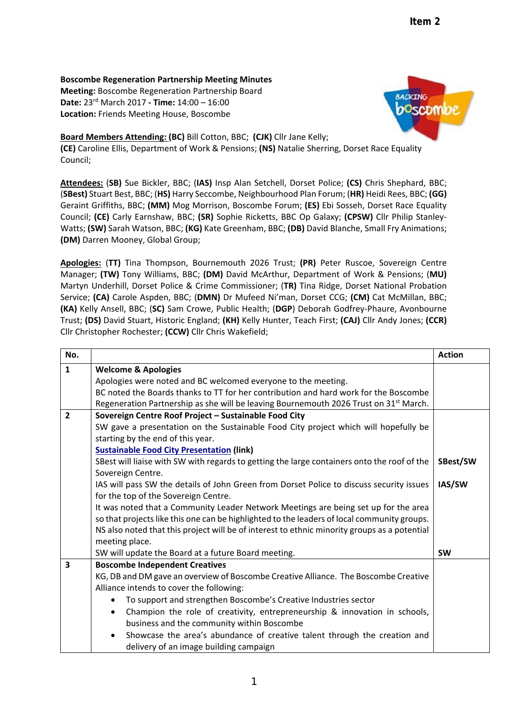**Boscombe Regeneration Partnership Meeting Minutes**

**Meeting:** Boscombe Regeneration Partnership Board **Date:** 23rd March 2017 **‐ Time:** 14:00 – 16:00 **Location:** Friends Meeting House, Boscombe



**Board Members Attending: (BC)** Bill Cotton, BBC; **(CJK)** Cllr Jane Kelly;

**(CE)** Caroline Ellis, Department of Work & Pensions; **(NS)** Natalie Sherring, Dorset Race Equality Council;

**Attendees:** (**SB)** Sue Bickler, BBC; (**IAS)** Insp Alan Setchell, Dorset Police; **(CS)** Chris Shephard, BBC; (**SBest)** Stuart Best, BBC; (**HS)** Harry Seccombe, Neighbourhood Plan Forum; (**HR)** Heidi Rees, BBC; **(GG)** Geraint Griffiths, BBC; **(MM)** Mog Morrison, Boscombe Forum; **(ES)** Ebi Sosseh, Dorset Race Equality Council; **(CE)** Carly Earnshaw, BBC; **(SR)** Sophie Ricketts, BBC Op Galaxy; **(CPSW)** Cllr Philip Stanley‐ Watts; **(SW)** Sarah Watson, BBC; **(KG)** Kate Greenham, BBC; **(DB)** David Blanche, Small Fry Animations; **(DM)** Darren Mooney, Global Group;

**Apologies:** (**TT)** Tina Thompson, Bournemouth 2026 Trust; **(PR)** Peter Ruscoe, Sovereign Centre Manager; **(TW)** Tony Williams, BBC; **(DM)** David McArthur, Department of Work & Pensions; (**MU)** Martyn Underhill, Dorset Police & Crime Commissioner; (**TR)** Tina Ridge, Dorset National Probation Service; **(CA)** Carole Aspden, BBC; (**DMN)** Dr Mufeed Ni'man, Dorset CCG; **(CM)** Cat McMillan, BBC; **(KA)** Kelly Ansell, BBC; (**SC)** Sam Crowe, Public Health; (**DGP**) Deborah Godfrey‐Phaure, Avonbourne Trust; **(DS)** David Stuart, Historic England; **(KH)** Kelly Hunter, Teach First; **(CAJ)** Cllr Andy Jones; **(CCR)** Cllr Christopher Rochester; **(CCW)** Cllr Chris Wakefield;

| No.            |                                                                                                   | <b>Action</b> |
|----------------|---------------------------------------------------------------------------------------------------|---------------|
| $\mathbf{1}$   | <b>Welcome &amp; Apologies</b>                                                                    |               |
|                | Apologies were noted and BC welcomed everyone to the meeting.                                     |               |
|                | BC noted the Boards thanks to TT for her contribution and hard work for the Boscombe              |               |
|                | Regeneration Partnership as she will be leaving Bournemouth 2026 Trust on 31 <sup>st</sup> March. |               |
| $\overline{2}$ | Sovereign Centre Roof Project - Sustainable Food City                                             |               |
|                | SW gave a presentation on the Sustainable Food City project which will hopefully be               |               |
|                | starting by the end of this year.                                                                 |               |
|                | <b>Sustainable Food City Presentation (link)</b>                                                  |               |
|                | SBest will liaise with SW with regards to getting the large containers onto the roof of the       | SBest/SW      |
|                | Sovereign Centre.                                                                                 |               |
|                | IAS will pass SW the details of John Green from Dorset Police to discuss security issues          | IAS/SW        |
|                | for the top of the Sovereign Centre.                                                              |               |
|                | It was noted that a Community Leader Network Meetings are being set up for the area               |               |
|                | so that projects like this one can be highlighted to the leaders of local community groups.       |               |
|                | NS also noted that this project will be of interest to ethnic minority groups as a potential      |               |
|                | meeting place.                                                                                    |               |
|                | SW will update the Board at a future Board meeting.                                               | <b>SW</b>     |
| 3              | <b>Boscombe Independent Creatives</b>                                                             |               |
|                | KG, DB and DM gave an overview of Boscombe Creative Alliance. The Boscombe Creative               |               |
|                | Alliance intends to cover the following:                                                          |               |
|                | To support and strengthen Boscombe's Creative Industries sector                                   |               |
|                | Champion the role of creativity, entrepreneurship & innovation in schools,<br>$\bullet$           |               |
|                | business and the community within Boscombe                                                        |               |
|                | Showcase the area's abundance of creative talent through the creation and                         |               |
|                | delivery of an image building campaign                                                            |               |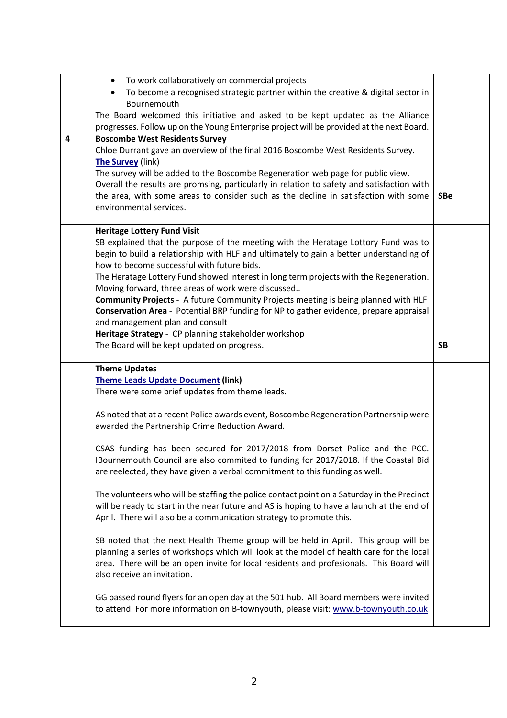|   | To work collaboratively on commercial projects<br>$\bullet$                                                                                                                     |            |
|---|---------------------------------------------------------------------------------------------------------------------------------------------------------------------------------|------------|
|   | To become a recognised strategic partner within the creative & digital sector in<br>$\bullet$                                                                                   |            |
|   | Bournemouth                                                                                                                                                                     |            |
|   | The Board welcomed this initiative and asked to be kept updated as the Alliance                                                                                                 |            |
|   | progresses. Follow up on the Young Enterprise project will be provided at the next Board.                                                                                       |            |
| 4 | <b>Boscombe West Residents Survey</b>                                                                                                                                           |            |
|   | Chloe Durrant gave an overview of the final 2016 Boscombe West Residents Survey.                                                                                                |            |
|   | The Survey (link)                                                                                                                                                               |            |
|   | The survey will be added to the Boscombe Regeneration web page for public view.                                                                                                 |            |
|   | Overall the results are promsing, particularly in relation to safety and satisfaction with                                                                                      |            |
|   | the area, with some areas to consider such as the decline in satisfaction with some                                                                                             | <b>SBe</b> |
|   | environmental services.                                                                                                                                                         |            |
|   |                                                                                                                                                                                 |            |
|   | <b>Heritage Lottery Fund Visit</b>                                                                                                                                              |            |
|   | SB explained that the purpose of the meeting with the Heratage Lottory Fund was to                                                                                              |            |
|   | begin to build a relationship with HLF and ultimately to gain a better understanding of                                                                                         |            |
|   | how to become successful with future bids.                                                                                                                                      |            |
|   | The Heratage Lottery Fund showed interest in long term projects with the Regeneration.                                                                                          |            |
|   | Moving forward, three areas of work were discussed                                                                                                                              |            |
|   | Community Projects - A future Community Projects meeting is being planned with HLF                                                                                              |            |
|   | Conservation Area - Potential BRP funding for NP to gather evidence, prepare appraisal                                                                                          |            |
|   | and management plan and consult                                                                                                                                                 |            |
|   | Heritage Strategy - CP planning stakeholder workshop                                                                                                                            |            |
|   | The Board will be kept updated on progress.                                                                                                                                     | <b>SB</b>  |
|   |                                                                                                                                                                                 |            |
|   |                                                                                                                                                                                 |            |
|   | <b>Theme Updates</b>                                                                                                                                                            |            |
|   | <b>Theme Leads Update Document (link)</b>                                                                                                                                       |            |
|   | There were some brief updates from theme leads.                                                                                                                                 |            |
|   |                                                                                                                                                                                 |            |
|   | AS noted that at a recent Police awards event, Boscombe Regeneration Partnership were                                                                                           |            |
|   | awarded the Partnership Crime Reduction Award.                                                                                                                                  |            |
|   |                                                                                                                                                                                 |            |
|   | CSAS funding has been secured for 2017/2018 from Dorset Police and the PCC.                                                                                                     |            |
|   | IBournemouth Council are also commited to funding for 2017/2018. If the Coastal Bid                                                                                             |            |
|   | are reelected, they have given a verbal commitment to this funding as well.                                                                                                     |            |
|   |                                                                                                                                                                                 |            |
|   | The volunteers who will be staffing the police contact point on a Saturday in the Precinct                                                                                      |            |
|   | will be ready to start in the near future and AS is hoping to have a launch at the end of                                                                                       |            |
|   | April. There will also be a communication strategy to promote this.                                                                                                             |            |
|   |                                                                                                                                                                                 |            |
|   | SB noted that the next Health Theme group will be held in April. This group will be<br>planning a series of workshops which will look at the model of health care for the local |            |
|   |                                                                                                                                                                                 |            |
|   | area. There will be an open invite for local residents and profesionals. This Board will<br>also receive an invitation.                                                         |            |
|   |                                                                                                                                                                                 |            |
|   | GG passed round flyers for an open day at the 501 hub. All Board members were invited                                                                                           |            |
|   | to attend. For more information on B-townyouth, please visit: www.b-townyouth.co.uk                                                                                             |            |